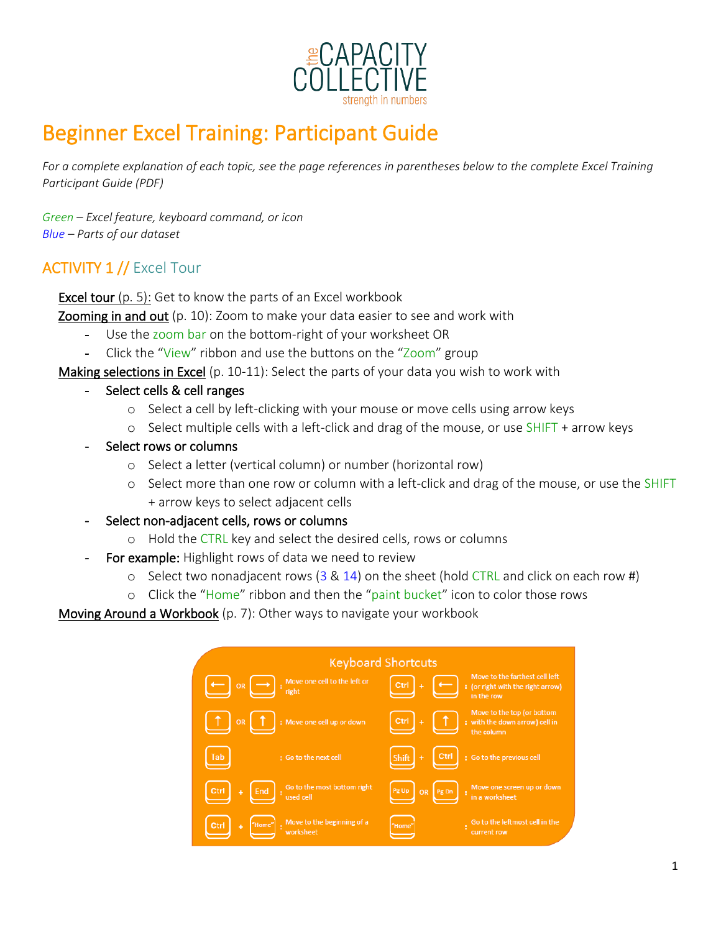

# Beginner Excel Training: Participant Guide

*For a complete explanation of each topic, see the page references in parentheses below to the complete Excel Training Participant Guide (PDF)*

*Green – Excel feature, keyboard command, or icon Blue – Parts of our dataset*

# ACTIVITY 1 // Excel Tour

Excel tour (p. 5): Get to know the parts of an Excel workbook

Zooming in and out (p. 10): Zoom to make your data easier to see and work with

- Use the zoom bar on the bottom-right of your worksheet OR
- Click the "View" ribbon and use the buttons on the "Zoom" group
- Making selections in Excel (p. 10-11): Select the parts of your data you wish to work with
	- Select cells & cell ranges
		- o Select a cell by left-clicking with your mouse or move cells using arrow keys
		- o Select multiple cells with a left-click and drag of the mouse, or use SHIFT + arrow keys
	- Select rows or columns
		- o Select a letter (vertical column) or number (horizontal row)
		- o Select more than one row or column with a left-click and drag of the mouse, or use the SHIFT + arrow keys to select adjacent cells
	- Select non-adjacent cells, rows or columns
		- o Hold the CTRL key and select the desired cells, rows or columns
	- For example: Highlight rows of data we need to review
		- $\circ$  Select two nonadjacent rows (3 & 14) on the sheet (hold CTRL and click on each row #)
		- o Click the "Home" ribbon and then the "paint bucket" icon to color those rows

Moving Around a Workbook (p. 7): Other ways to navigate your workbook

| <b>Keyboard Shortcuts</b>                                      |                                                                                           |
|----------------------------------------------------------------|-------------------------------------------------------------------------------------------|
| Move one cell to the left or<br>inght<br><b>OR</b>             | Move to the farthest cell left<br>Ctrl<br>: (or right with the right arrow)<br>in the row |
| : Move one cell up or down<br><b>OR</b>                        | Move to the top (or bottom<br>Ctrl<br>: with the down arrow) cell in<br>the column        |
| Tab<br>: Go to the next cell                                   | Ctrl<br>: Go to the previous cell                                                         |
| Go to the most bottom right<br>End<br>Ctrl<br>÷<br>used cell   | Move one screen up or down<br>Pg Up<br><b>OR</b><br>Pg Dn<br>in a worksheet               |
| Move to the beginning of a<br>Ctrl<br>"Home"<br>÷<br>worksheet | Go to the leftmost cell in the<br>"Home"<br>current row                                   |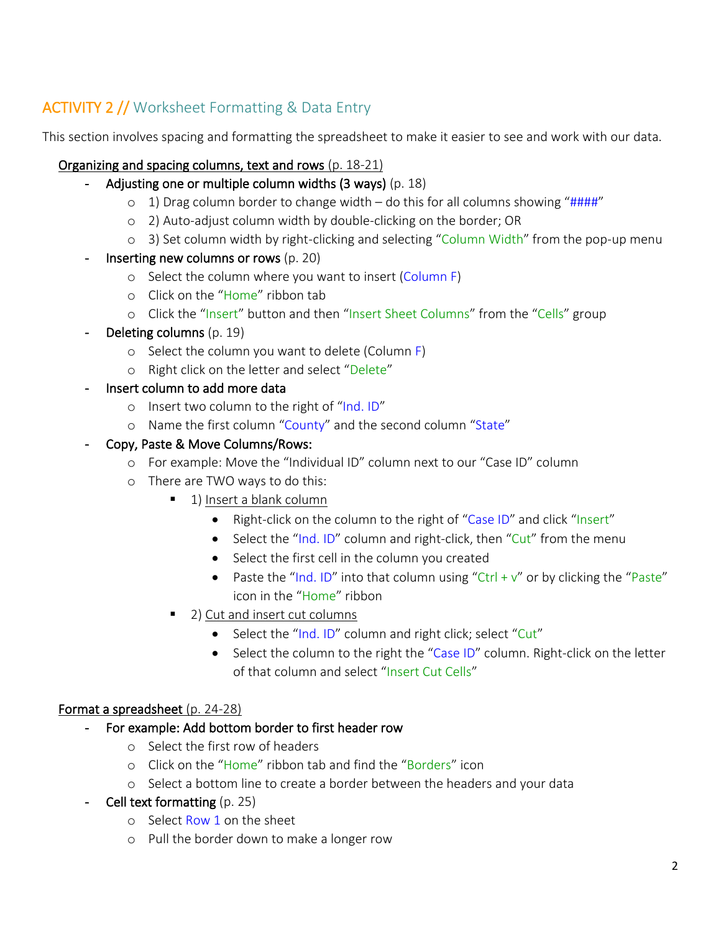# ACTIVITY 2 // Worksheet Formatting & Data Entry

This section involves spacing and formatting the spreadsheet to make it easier to see and work with our data.

# Organizing and spacing columns, text and rows (p. 18-21)

- Adjusting one or multiple column widths  $(3 \text{ ways})$  (p. 18)
	- $\circ$  1) Drag column border to change width do this for all columns showing "####"
	- o 2) Auto-adjust column width by double-clicking on the border; OR
	- o 3) Set column width by right-clicking and selecting "Column Width" from the pop-up menu
- Inserting new columns or rows (p. 20)
	- o Select the column where you want to insert (Column F)
	- o Click on the "Home" ribbon tab
	- o Click the "Insert" button and then "Insert Sheet Columns" from the "Cells" group
- **Deleting columns (p. 19)** 
	- o Select the column you want to delete (Column F)
	- o Right click on the letter and select "Delete"
- Insert column to add more data
	- o Insert two column to the right of "Ind. ID"
	- o Name the first column "County" and the second column "State"

## - Copy, Paste & Move Columns/Rows:

- o For example: Move the "Individual ID" column next to our "Case ID" column
- o There are TWO ways to do this:
	- 1) Insert a blank column
		- Right-click on the column to the right of "Case ID" and click "Insert"
		- Select the "Ind. ID" column and right-click, then "Cut" from the menu
		- Select the first cell in the column you created
		- Paste the "Ind. ID" into that column using "Ctrl +  $v''$  or by clicking the "Paste" icon in the "Home" ribbon
	- 2) Cut and insert cut columns
		- Select the "Ind. ID" column and right click; select "Cut"
		- Select the column to the right the "Case ID" column. Right-click on the letter of that column and select "Insert Cut Cells"

# Format a spreadsheet (p. 24-28)

- For example: Add bottom border to first header row
	- o Select the first row of headers
	- o Click on the "Home" ribbon tab and find the "Borders" icon
	- o Select a bottom line to create a border between the headers and your data
- Cell text formatting (p. 25)
	- o Select Row 1 on the sheet
	- o Pull the border down to make a longer row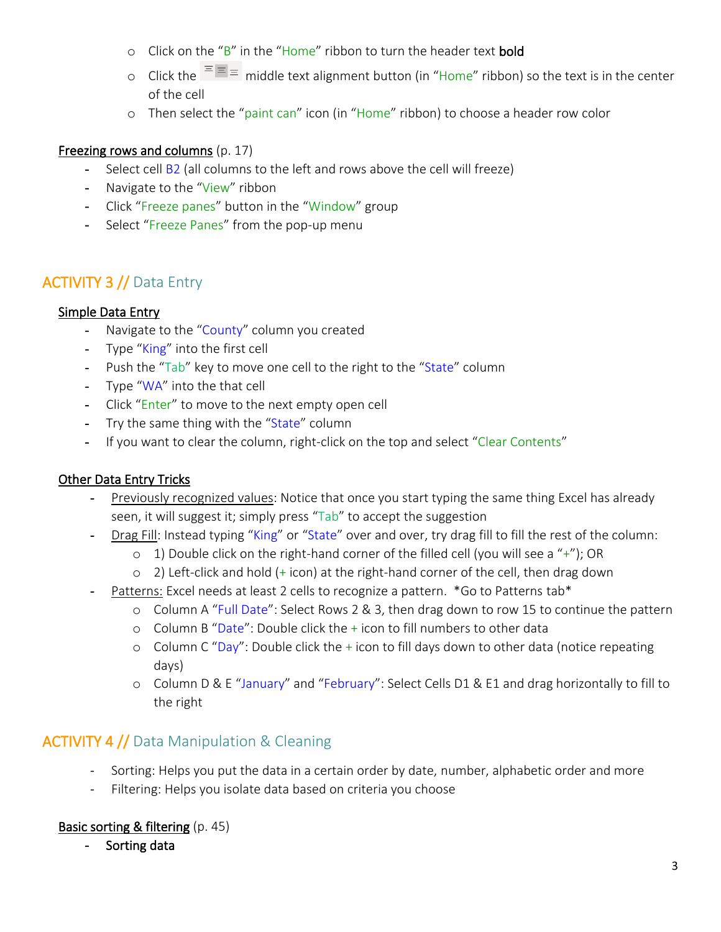- o Click on the "B" in the "Home" ribbon to turn the header text bold
- o Click the  $\overline{m} = \overline{m}$  middle text alignment button (in "Home" ribbon) so the text is in the center of the cell
- o Then select the "paint can" icon (in "Home" ribbon) to choose a header row color

## Freezing rows and columns (p. 17)

- Select cell B2 (all columns to the left and rows above the cell will freeze)
- Navigate to the "View" ribbon
- Click "Freeze panes" button in the "Window" group
- Select "Freeze Panes" from the pop-up menu

# ACTIVITY 3 // Data Entry

## Simple Data Entry

- Navigate to the "County" column you created
- Type "King" into the first cell
- Push the "Tab" key to move one cell to the right to the "State" column
- Type "WA" into the that cell
- Click "Enter" to move to the next empty open cell
- Try the same thing with the "State" column
- If you want to clear the column, right-click on the top and select "Clear Contents"

# Other Data Entry Tricks

- Previously recognized values: Notice that once you start typing the same thing Excel has already seen, it will suggest it; simply press "Tab" to accept the suggestion
- Drag Fill: Instead typing "King" or "State" over and over, try drag fill to fill the rest of the column:
	- $\circ$  1) Double click on the right-hand corner of the filled cell (you will see a "+"); OR
	- $\circ$  2) Left-click and hold (+ icon) at the right-hand corner of the cell, then drag down
- Patterns: Excel needs at least 2 cells to recognize a pattern. \*Go to Patterns tab\*
	- o Column A "Full Date": Select Rows 2 & 3, then drag down to row 15 to continue the pattern
	- o Column B "Date": Double click the  $+$  icon to fill numbers to other data
	- o Column C "Day": Double click the  $+$  icon to fill days down to other data (notice repeating days)
	- o Column D & E "January" and "February": Select Cells D1 & E1 and drag horizontally to fill to the right

# ACTIVITY 4 // Data Manipulation & Cleaning

- Sorting: Helps you put the data in a certain order by date, number, alphabetic order and more
- Filtering: Helps you isolate data based on criteria you choose

# **Basic sorting & filtering** (p. 45)

- Sorting data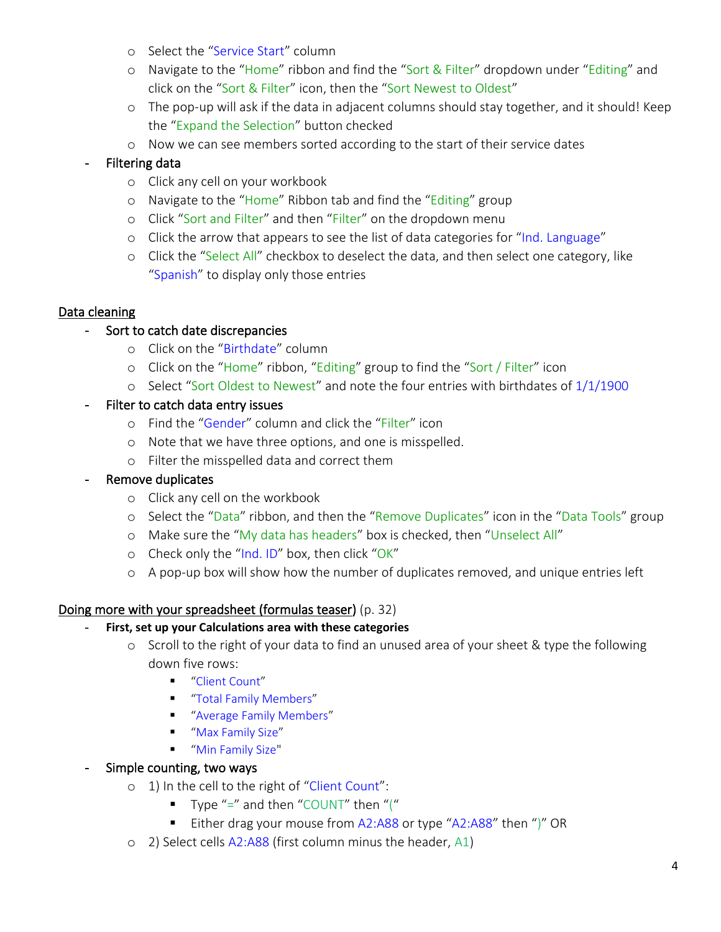- o Select the "Service Start" column
- o Navigate to the "Home" ribbon and find the "Sort & Filter" dropdown under "Editing" and click on the "Sort & Filter" icon, then the "Sort Newest to Oldest"
- o The pop-up will ask if the data in adjacent columns should stay together, and it should! Keep the "Expand the Selection" button checked
- o Now we can see members sorted according to the start of their service dates

# - Filtering data

- o Click any cell on your workbook
- o Navigate to the "Home" Ribbon tab and find the "Editing" group
- o Click "Sort and Filter" and then "Filter" on the dropdown menu
- $\circ$  Click the arrow that appears to see the list of data categories for "Ind. Language"
- o Click the "Select All" checkbox to deselect the data, and then select one category, like "Spanish" to display only those entries

## Data cleaning

## Sort to catch date discrepancies

- o Click on the "Birthdate" column
- o Click on the "Home" ribbon, "Editing" group to find the "Sort / Filter" icon
- o Select "Sort Oldest to Newest" and note the four entries with birthdates of 1/1/1900

## Filter to catch data entry issues

- o Find the "Gender" column and click the "Filter" icon
- o Note that we have three options, and one is misspelled.
- o Filter the misspelled data and correct them
- Remove duplicates
	- o Click any cell on the workbook
	- o Select the "Data" ribbon, and then the "Remove Duplicates" icon in the "Data Tools" group
	- o Make sure the "My data has headers" box is checked, then "Unselect All"
	- o Check only the "Ind. ID" box, then click "OK"
	- o A pop-up box will show how the number of duplicates removed, and unique entries left

#### Doing more with your spreadsheet (formulas teaser) (p. 32)

- **First, set up your Calculations area with these categories**
	- o Scroll to the right of your data to find an unused area of your sheet & type the following down five rows:
		- "Client Count"
		- "Total Family Members"
		- "Average Family Members"
		- "Max Family Size"
		- "Min Family Size"

#### - Simple counting, two ways

- o 1) In the cell to the right of "Client Count":
	- **Type "=" and then "COUNT" then "("**
	- Either drag your mouse from A2:A88 or type "A2:A88" then ")" OR
- o 2) Select cells A2:A88 (first column minus the header, A1)